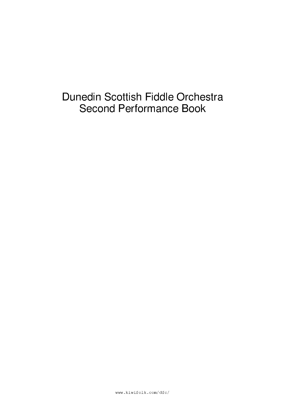# Dunedin Scottish Fiddle Orchestra **Second Performance Book**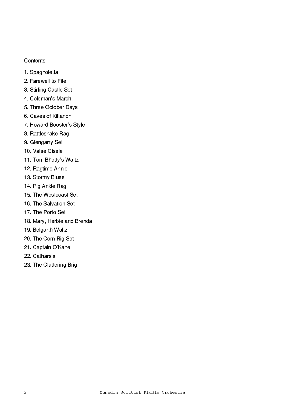#### Contents.

- 1. Spagnoletta
- 2. Farewell to Fife
- 3. Stirling Castle Set
- 4. Coleman's March
- 5. Three October Days
- 6. Caves of Kiltanon
- 7. Howard Booster's Style
- 8. Rattlesnake Rag
- 9. Glengarry Set
- 10. Valse Gisele
- 11. Tom Bhetty's Waltz
- 12. Ragtime Annie
- 13. Stormy Blues
- 14. Pig Ankle Rag
- 15. The Westcoast Set
- 16. The Salvation Set
- 17. The Porto Set
- 18. Mary, Herbie and Brenda
- 19. Belgarth Waltz
- 20. The Corn Rig Set
- 21. Captain O'Kane
- 22. Catharsis
- 23. The Clattering Brig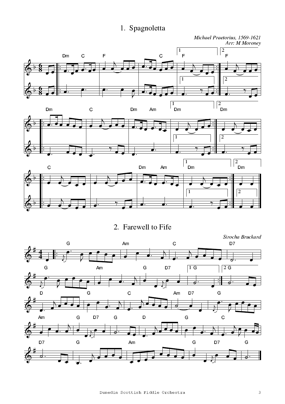# 1. Spagnoletta

Michael Praetorius, 1569-1621<br>Arr: M Moroney  $\sqrt{2}$  $\boxed{1}$  $\mathsf{F}$  $\mathsf{F}$ Dm  $\mathbf C$  $\overline{F}$  $\mathbf C$  $\overline{2}$  $\sqrt{1}$  $\sqrt{\frac{2}{2}}$ Dm  $\boxed{1}$ .<br>Dm Dm Am Dm  $\mathsf{C}$  $\sqrt{2}$  $\sqrt{1}$ •−  $\left| \frac{2}{2} \right|$  $\sqrt{\frac{1}{2}}$  Dm  $\mathbf C$ Dm Am  $\sqrt{2}$  $\overline{1}$ 

2. Farewell to Fife

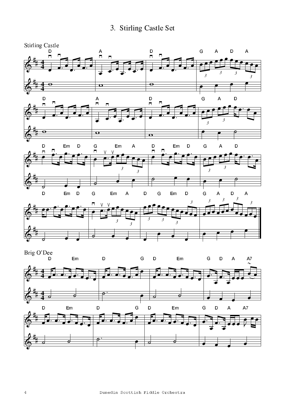3. Stirling Castle Set



a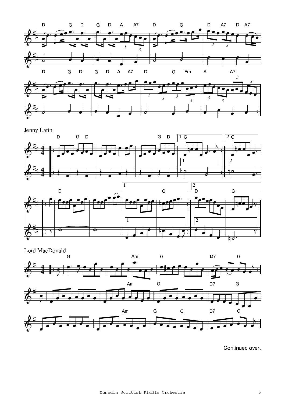

Jenny Latin







Continued over.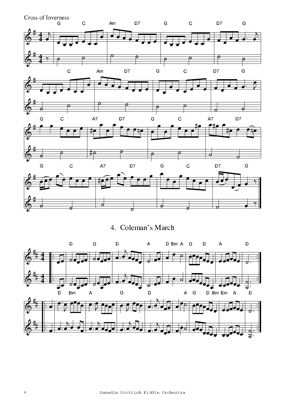Cross of Inverness<br>G  $\mathsf C$ Am D7 G  $\mathsf C$ D7 G  $\overline{\rho}$  $\mathbf C$ Am D7 Ġ  $\ddot{c}$ D7 G ď D7 D7 G  $\overline{C}$  $A7$  $\overline{C}$ G  $A7$  $D7$  $\mathsf{C}$  $\mathbf C$  $A7$ Ġ D7 G G

4. Coleman's March

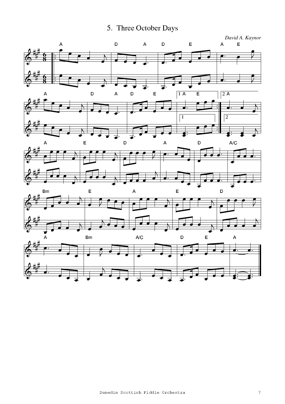5. Three October Days

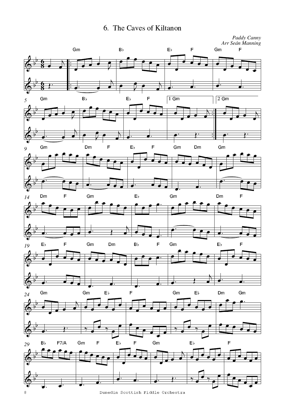6. The Caves of Kiltanon



Dunedin Scottish Fiddle Orchestra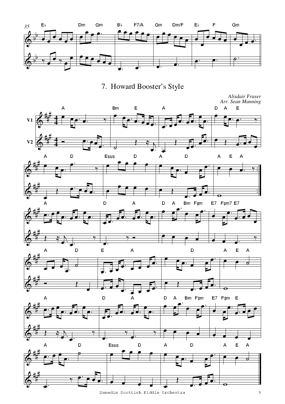

U\$[³Y²{C[À-²YöÀ\_ [

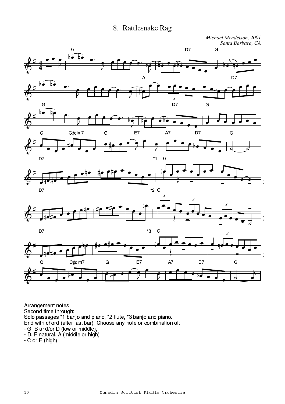#### 8. Rattlesnake Rag

Michael Mendelson, 2001 Santa Barbara, CA



Arrangement notes.<br>Second time through: Solo passages \*1 banjo and piano, \*2 flute, \*3 banjo and piano.<br>
End with chord (after last bar). Choose any note or combination of:<br>
- G, B and/or D (low or middle),<br>
- D, F natural, A (middle or high)

 $-C$  or  $E$  (high)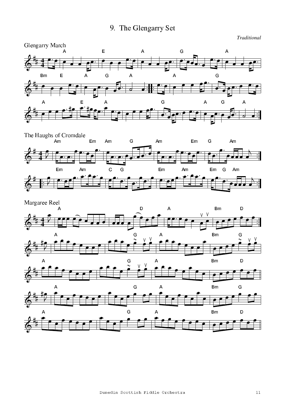# 9. The Glengarry Set

Traditional





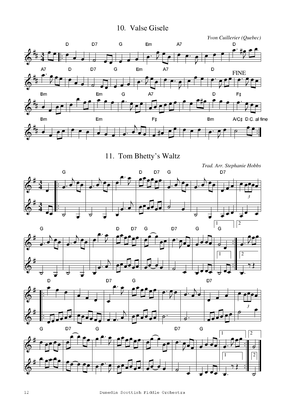#### $\overline{\phantom{a}}$  . Auby in the set of  $\overline{\phantom{a}}$



11. Tom Bhetty's Waltz







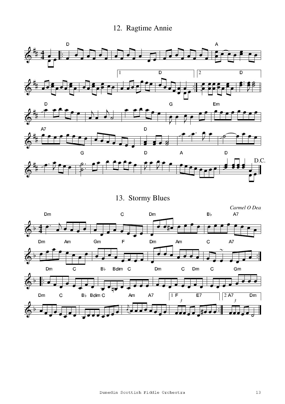# 12. Ragtime Annie



13. Stormy Blues

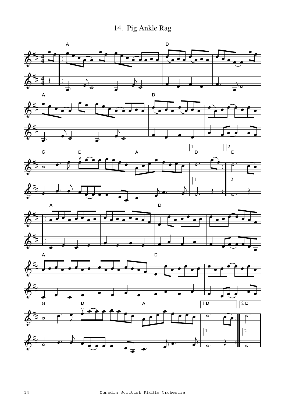14. Pig Ankle Rag











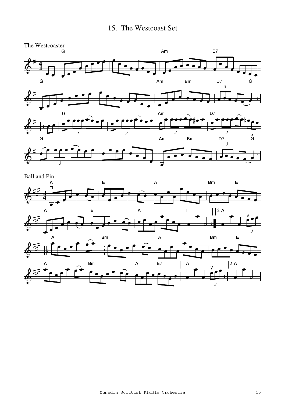

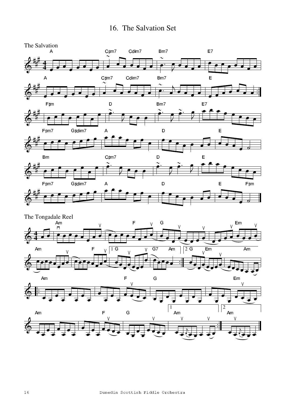### 16. The Salvation Set

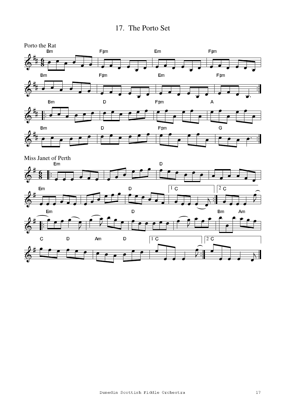

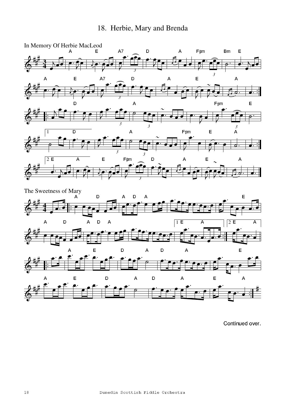



Continued over.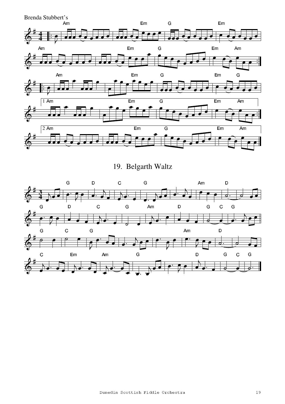Brenda Stubbert's



19. Belgarth Waltz

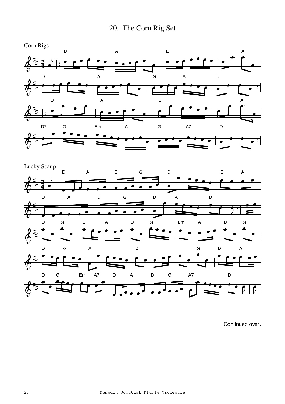



Continued over.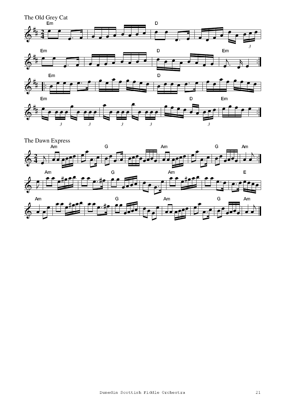

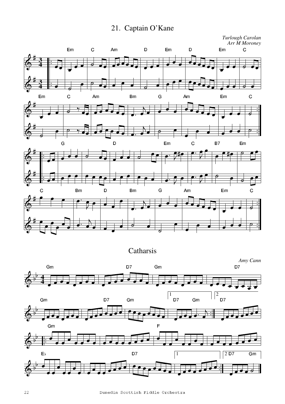21. Captain O'Kane

*Turlough Carolan Arr M Moroney*



**Catharsis**